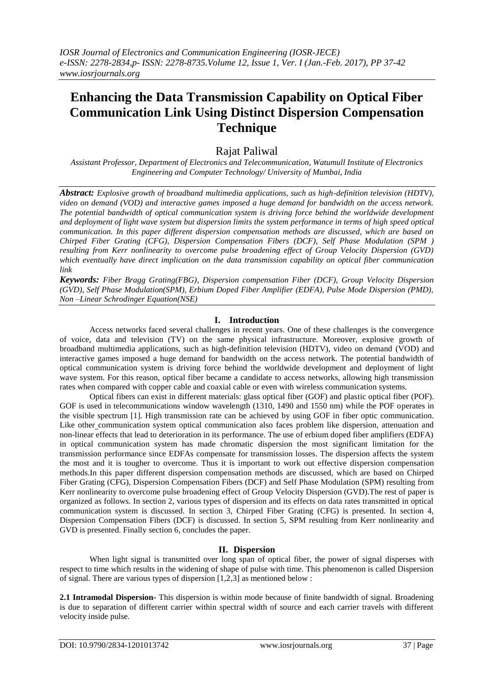# **Enhancing the Data Transmission Capability on Optical Fiber Communication Link Using Distinct Dispersion Compensation Technique**

# Rajat Paliwal

*Assistant Professor, Department of Electronics and Telecommunication, Watumull Institute of Electronics Engineering and Computer Technology/ University of Mumbai, India*

*Abstract: Explosive growth of broadband multimedia applications, such as high-definition television (HDTV), video on demand (VOD) and interactive games imposed a huge demand for bandwidth on the access network. The potential bandwidth of optical communication system is driving force behind the worldwide development and deployment of light wave system but dispersion limits the system performance in terms of high speed optical communication. In this paper different dispersion compensation methods are discussed, which are based on Chirped Fiber Grating (CFG), Dispersion Compensation Fibers (DCF), Self Phase Modulation (SPM ) resulting from Kerr nonlinearity to overcome pulse broadening effect of Group Velocity Dispersion (GVD) which eventually have direct implication on the data transmission capability on optical fiber communication link*

*Keywords: Fiber Bragg Grating(FBG), Dispersion compensation Fiber (DCF), Group Velocity Dispersion (GVD), Self Phase Modulation(SPM), Erbium Doped Fiber Amplifier (EDFA), Pulse Mode Dispersion (PMD), Non –Linear Schrodinger Equation(NSE)*

## **I. Introduction**

Access networks faced several challenges in recent years. One of these challenges is the convergence of voice, data and television (TV) on the same physical infrastructure. Moreover, explosive growth of broadband multimedia applications, such as high-definition television (HDTV), video on demand (VOD) and interactive games imposed a huge demand for bandwidth on the access network. The potential bandwidth of optical communication system is driving force behind the worldwide development and deployment of light wave system. For this reason, optical fiber became a candidate to access networks, allowing high transmission rates when compared with copper cable and coaxial cable or even with wireless communication systems.

Optical fibers can exist in different materials: glass optical fiber (GOF) and plastic optical fiber (POF). GOF is used in telecommunications window wavelength (1310, 1490 and 1550 nm) while the POF operates in the visible spectrum [1]. High transmission rate can be achieved by using GOF in fiber optic communication. Like other communication system optical communication also faces problem like dispersion, attenuation and non-linear effects that lead to deterioration in its performance. The use of erbium doped fiber amplifiers (EDFA) in optical communication system has made chromatic dispersion the most significant limitation for the transmission performance since EDFAs compensate for transmission losses. The dispersion affects the system the most and it is tougher to overcome. Thus it is important to work out effective dispersion compensation methods.In this paper different dispersion compensation methods are discussed, which are based on Chirped Fiber Grating (CFG), Dispersion Compensation Fibers (DCF) and Self Phase Modulation (SPM) resulting from Kerr nonlinearity to overcome pulse broadening effect of Group Velocity Dispersion (GVD).The rest of paper is organized as follows. In section 2, various types of dispersion and its effects on data rates transmitted in optical communication system is discussed. In section 3, Chirped Fiber Grating (CFG) is presented. In section 4, Dispersion Compensation Fibers (DCF) is discussed. In section 5, SPM resulting from Kerr nonlinearity and GVD is presented. Finally section 6, concludes the paper.

## **II. Dispersion**

When light signal is transmitted over long span of optical fiber, the power of signal disperses with respect to time which results in the widening of shape of pulse with time. This phenomenon is called Dispersion of signal. There are various types of dispersion [1,2,3] as mentioned below :

**2.1 Intramodal Dispersion-** This dispersion is within mode because of finite bandwidth of signal. Broadening is due to separation of different carrier within spectral width of source and each carrier travels with different velocity inside pulse.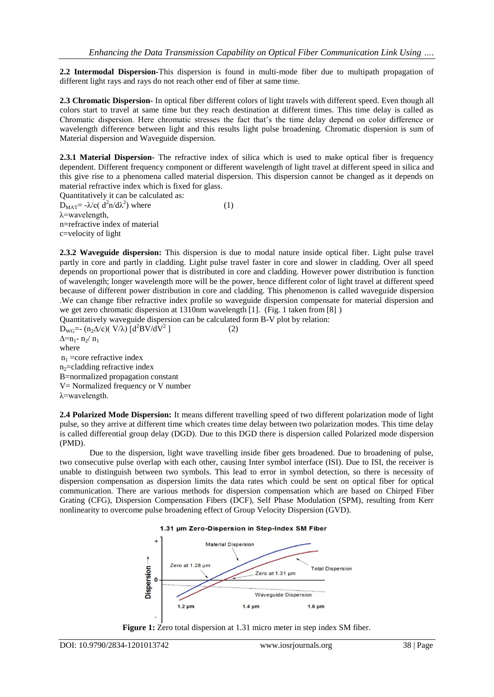**2.2 Intermodal Dispersion-**This dispersion is found in multi-mode fiber due to multipath propagation of different light rays and rays do not reach other end of fiber at same time.

**2.3 Chromatic Dispersion-** In optical fiber different colors of light travels with different speed. Even though all colors start to travel at same time but they reach destination at different times. This time delay is called as Chromatic dispersion. Here chromatic stresses the fact that's the time delay depend on color difference or wavelength difference between light and this results light pulse broadening. Chromatic dispersion is sum of Material dispersion and Waveguide dispersion.

**2.3.1 Material Dispersion-** The refractive index of silica which is used to make optical fiber is frequency dependent. Different frequency component or different wavelength of light travel at different speed in silica and this give rise to a phenomena called material dispersion. This dispersion cannot be changed as it depends on material refractive index which is fixed for glass.

Quantitatively it can be calculated as:  $D_{\text{MAT}} = -\lambda/c \left( d^2 n / d \lambda^2 \right)$  where (1) λ=wavelength, n=refractive index of material c=velocity of light

**2.3.2 Waveguide dispersion:** This dispersion is due to modal nature inside optical fiber. Light pulse travel partly in core and partly in cladding. Light pulse travel faster in core and slower in cladding. Over all speed depends on proportional power that is distributed in core and cladding. However power distribution is function of wavelength; longer wavelength more will be the power, hence different color of light travel at different speed because of different power distribution in core and cladding. This phenomenon is called waveguide dispersion .We can change fiber refractive index profile so waveguide dispersion compensate for material dispersion and we get zero chromatic dispersion at 1310nm wavelength [1]. (Fig. 1 taken from [8] )

Quantitatively waveguide dispersion can be calculated form B-V plot by relation:

D<sub>WG</sub>=-  $(n_2\Delta/c)(V/\lambda)$  [d<sup>2</sup>BV/dV<sup>2</sup>]  $(2)$  $\Delta = n_1 - n_2/n_1$ where  $n_1$  =core refractive index  $n<sub>2</sub>=cladding refractive index$ B=normalized propagation constant V= Normalized frequency or V number λ=wavelength.

**2.4 Polarized Mode Dispersion:** It means different travelling speed of two different polarization mode of light pulse, so they arrive at different time which creates time delay between two polarization modes. This time delay is called differential group delay (DGD). Due to this DGD there is dispersion called Polarized mode dispersion (PMD).

Due to the dispersion, light wave travelling inside fiber gets broadened. Due to broadening of pulse, two consecutive pulse overlap with each other, causing Inter symbol interface (ISI). Due to ISI, the receiver is unable to distinguish between two symbols. This lead to error in symbol detection, so there is necessity of dispersion compensation as dispersion limits the data rates which could be sent on optical fiber for optical communication. There are various methods for dispersion compensation which are based on Chirped Fiber Grating (CFG), Dispersion Compensation Fibers (DCF), Self Phase Modulation (SPM), resulting from Kerr nonlinearity to overcome pulse broadening effect of Group Velocity Dispersion (GVD).

#### 1.31 um Zero-Dispersion in Step-Index SM Fiber



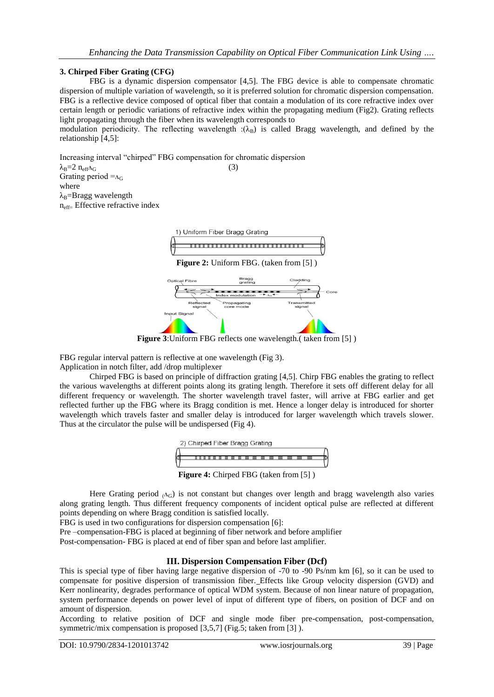### **3. Chirped Fiber Grating (CFG)**

FBG is a dynamic dispersion compensator [4,5]. The FBG device is able to compensate chromatic dispersion of multiple variation of wavelength, so it is preferred solution for chromatic dispersion compensation. FBG is a reflective device composed of optical fiber that contain a modulation of its core refractive index over certain length or periodic variations of refractive index within the propagating medium (Fig2). Grating reflects light propagating through the fiber when its wavelength corresponds to

modulation periodicity. The reflecting wavelength : $(\lambda_B)$  is called Bragg wavelength, and defined by the relationship [4,5]:

Increasing interval "chirped" FBG compensation for chromatic dispersion

 $\lambda_{\rm B} = 2 \; n_{\rm eff} \Lambda_{\rm G}$  (3) Grating period  $=_{A_G}$ where  $\lambda_B$ =Bragg wavelength neff= Effective refractive index



**Figure 3**:Uniform FBG reflects one wavelength.( taken from [5] )

FBG regular interval pattern is reflective at one wavelength (Fig 3).

Application in notch filter, add /drop multiplexer

Chirped FBG is based on principle of diffraction grating [4,5]. Chirp FBG enables the grating to reflect the various wavelengths at different points along its grating length. Therefore it sets off different delay for all different frequency or wavelength. The shorter wavelength travel faster, will arrive at FBG earlier and get reflected further up the FBG where its Bragg condition is met. Hence a longer delay is introduced for shorter wavelength which travels faster and smaller delay is introduced for larger wavelength which travels slower. Thus at the circulator the pulse will be undispersed (Fig 4).



Here Grating period  $\Delta_G$ ) is not constant but changes over length and bragg wavelength also varies along grating length. Thus different frequency components of incident optical pulse are reflected at different points depending on where Bragg condition is satisfied locally.

FBG is used in two configurations for dispersion compensation [6]:

Pre –compensation-FBG is placed at beginning of fiber network and before amplifier Post-compensation- FBG is placed at end of fiber span and before last amplifier.

## **III. Dispersion Compensation Fiber (Dcf)**

This is special type of fiber having large negative dispersion of -70 to -90 Ps/nm km [6], so it can be used to compensate for positive dispersion of transmission fiber. Effects like Group velocity dispersion (GVD) and Kerr nonlinearity, degrades performance of optical WDM system. Because of non linear nature of propagation, system performance depends on power level of input of different type of fibers, on position of DCF and on amount of dispersion.

According to relative position of DCF and single mode fiber pre-compensation, post-compensation, symmetric/mix compensation is proposed [3,5,7] (Fig.5; taken from [3] ).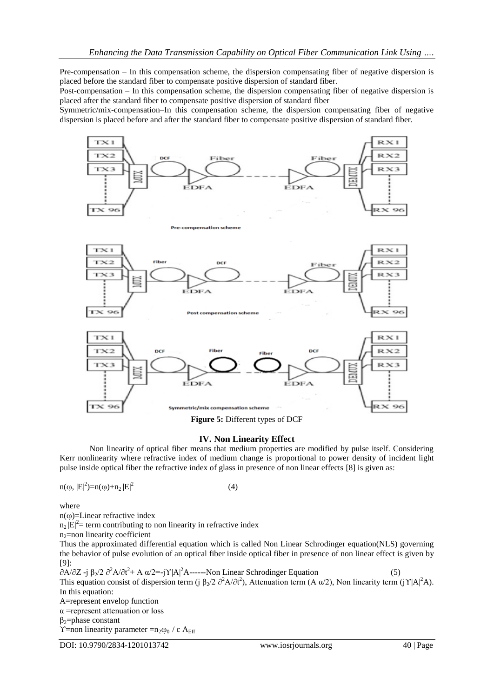Pre-compensation – In this compensation scheme, the dispersion compensating fiber of negative dispersion is placed before the standard fiber to compensate positive dispersion of standard fiber.

Post-compensation – In this compensation scheme, the dispersion compensating fiber of negative dispersion is placed after the standard fiber to compensate positive dispersion of standard fiber

Symmetric/mix-compensation–In this compensation scheme, the dispersion compensating fiber of negative dispersion is placed before and after the standard fiber to compensate positive dispersion of standard fiber.



# **IV. Non Linearity Effect**

Non linearity of optical fiber means that medium properties are modified by pulse itself. Considering Kerr nonlinearity where refractive index of medium change is proportional to power density of incident light pulse inside optical fiber the refractive index of glass in presence of non linear effects [8] is given as:

$$
n(\omega, |E|^2) = n(\omega) + n_2 |E|^2 \tag{4}
$$

where

 $n(\omega)$ =Linear refractive index

 $n_2 |E|^2$  = term contributing to non linearity in refractive index

n<sub>2</sub>=non linearity coefficient

Thus the approximated differential equation which is called Non Linear Schrodinger equation(NLS) governing the behavior of pulse evolution of an optical fiber inside optical fiber in presence of non linear effect is given by [9]:

 $\partial A/\partial Z$  -j  $\beta_2/2 \partial^2 A/\partial t^2$ + A  $\alpha/2$ =-jY|A|<sup>2</sup>A------Non Linear Schrodinger Equation (5) This equation consist of dispersion term (j  $\beta_2/2 \partial^2 A/\partial t^2$ ), Attenuation term (A  $\alpha/2$ ), Non linearity term (j Y|A|<sup>2</sup>A). In this equation: A=represent envelop function α =represent attenuation or loss  $\beta_2$ =phase constant Y=non linearity parameter = $n_2\omega_0$  / c A<sub>Eff</sub>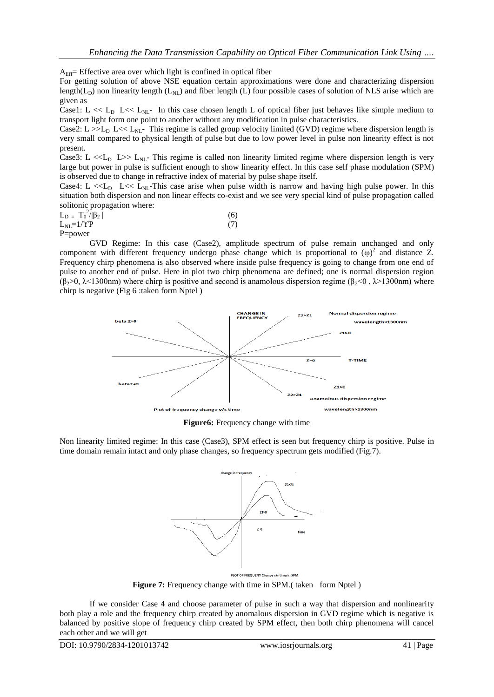$A_{\text{Eff}}$ = Effective area over which light is confined in optical fiber

For getting solution of above NSE equation certain approximations were done and characterizing dispersion length( $L_D$ ) non linearity length ( $L_{NL}$ ) and fiber length (L) four possible cases of solution of NLS arise which are given as

Case1: L  $<< L<sub>D</sub>$  L  $<< L<sub>NL</sub>$ . In this case chosen length L of optical fiber just behaves like simple medium to transport light form one point to another without any modification in pulse characteristics.

Case2: L  $>>L<sub>D</sub>$  L  $<< L<sub>NL</sub>$ . This regime is called group velocity limited (GVD) regime where dispersion length is very small compared to physical length of pulse but due to low power level in pulse non linearity effect is not present.

Case3: L  $<<$ L<sub>D</sub> L>> L<sub>NL</sub>- This regime is called non linearity limited regime where dispersion length is very large but power in pulse is sufficient enough to show linearity effect. In this case self phase modulation (SPM) is observed due to change in refractive index of material by pulse shape itself.

Case4: L  $<< L<sub>NL</sub>$ -This case arise when pulse width is narrow and having high pulse power. In this situation both dispersion and non linear effects co-exist and we see very special kind of pulse propagation called solitonic propagation where:

| $L_{D} = T_0^2 /  \beta_2 $<br>___ | (6) |
|------------------------------------|-----|
| $L_{NL} = 1/\Upsilon P$            | (7) |

P=power

GVD Regime: In this case (Case2), amplitude spectrum of pulse remain unchanged and only component with different frequency undergo phase change which is proportional to  $(\omega)^2$  and distance Z. Frequency chirp phenomena is also observed where inside pulse frequency is going to change from one end of pulse to another end of pulse. Here in plot two chirp phenomena are defined; one is normal dispersion region (β<sub>2</sub>>0,  $\lambda$ <1300nm) where chirp is positive and second is anamolous dispersion regime (β<sub>2</sub><0,  $\lambda$ >1300nm) where chirp is negative (Fig 6 :taken form Nptel )



**Figure6:** Frequency change with time

Non linearity limited regime: In this case (Case3), SPM effect is seen but frequency chirp is positive. Pulse in time domain remain intact and only phase changes, so frequency spectrum gets modified (Fig.7).



**Figure 7:** Frequency change with time in SPM. (taken form Nptel)

If we consider Case 4 and choose parameter of pulse in such a way that dispersion and nonlinearity both play a role and the frequency chirp created by anomalous dispersion in GVD regime which is negative is balanced by positive slope of frequency chirp created by SPM effect, then both chirp phenomena will cancel each other and we will get

DOI: 10.9790/2834-1201013742 www.iosrjournals.org 41 | Page